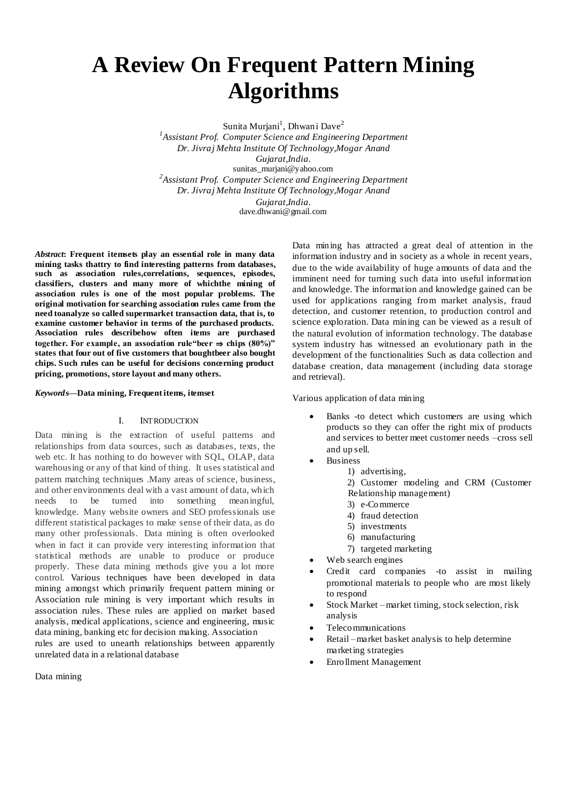# **A Review On Frequent Pattern Mining Algorithms**

Sunita Murjani<sup>1</sup>, Dhwani Dave<sup>2</sup> *1 Assistant Prof. Computer Science and Engineering Department Dr. Jivraj Mehta Institute Of Technology,Mogar Anand Gujarat,India.* sunitas\_murjani@yahoo.com *2 Assistant Prof. Computer Science and Engineering Department Dr. Jivraj Mehta Institute Of Technology,Mogar Anand Gujarat,India.* dave.dhwani@gmail.com

*Abstract***: Frequent itemsets play an essential role in many data mining tasks thattry to find interesting patterns from databases, such as association rules,correlations, sequences, episodes, classifiers, clusters and many more of whichthe mining of association rules is one of the most popular problems. The original motivation for searching association rules came from the need toanalyze so called supermarket transaction data, that is, to examine customer behavior in terms of the purchased products. Association rules describehow often items are purchased together.** For example, an association rule"beer  $\Rightarrow$  chips (80%)" **states that four out of five customers that boughtbeer also bought chips. Such rules can be useful for decisions concerning product pricing, promotions, store layout and many others.**

#### *Keywords***—Data mining, Frequent items, itemset**

#### I. INTRODUCTION

Data mining is the extraction of useful patterns and relationships from data sources, such as databases, texts, the web etc. It has nothing to do however with SQL, OLAP, data warehousing or any of that kind of thing. It uses statistical and pattern matching techniques .Many areas of science, business, and other environments deal with a vast amount of data, which needs to be turned into something meaningful, knowledge. Many website owners and SEO professionals use different statistical packages to make sense of their data, as do many other professionals. Data mining is often overlooked when in fact it can provide very interesting information that statistical methods are unable to produce or produce properly. These data mining methods give you a lot more control. Various techniques have been developed in data mining amongst which primarily frequent pattern mining or Association rule mining is very important which results in association rules. These rules are applied on market based analysis, medical applications, science and engineering, music data mining, banking etc for decision making. Association

rules are used to unearth relationships between apparently unrelated data in a relational database

Data mining

Data mining has attracted a great deal of attention in the information industry and in society as a whole in recent years, due to the wide availability of huge amounts of data and the imminent need for turning such data into useful information and knowledge. The information and knowledge gained can be used for applications ranging from market analysis, fraud detection, and customer retention, to production control and science exploration. Data mining can be viewed as a result of the natural evolution of information technology. The database system industry has witnessed an evolutionary path in the development of the functionalities Such as data collection and database creation, data management (including data storage and retrieval).

Various application of data mining

- Banks -to detect which customers are using which products so they can offer the right mix of products and services to better meet customer needs –cross sell and up sell.
- Business
	- 1) advertising,

2) Customer modeling and CRM (Customer Relationship management)

- 3) e-Commerce
- 4) fraud detection
- 5) investments
- 6) manufacturing
	- 7) targeted marketing
- Web search engines
- Credit card companies -to assist in mailing promotional materials to people who are most likely to respond
- Stock Market –market timing, stock selection, risk analysis
- Telecommunications
- Retail –market basket analysis to help determine marketing strategies
- Enrollment Management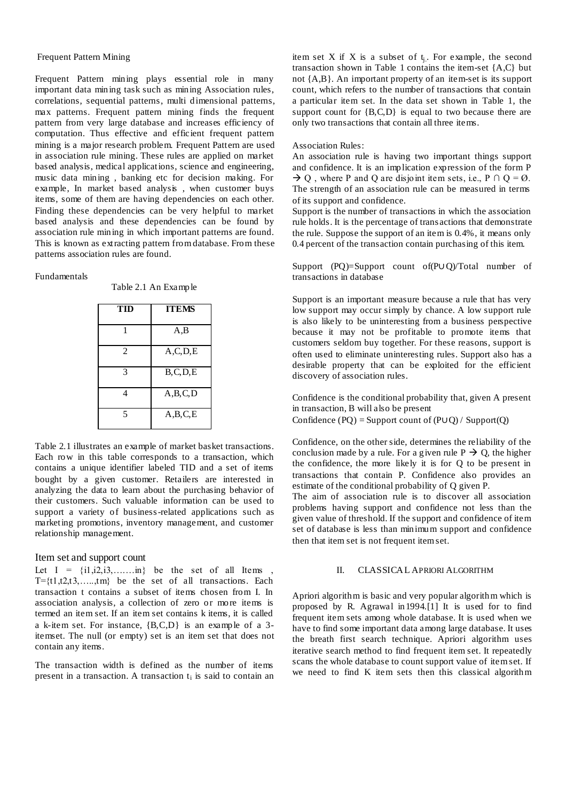# Frequent Pattern Mining

Frequent Pattern mining plays essential role in many important data mining task such as mining Association rules, correlations, sequential patterns, multi dimensional patterns, max patterns. Frequent pattern mining finds the frequent pattern from very large database and increases efficiency of computation. Thus effective and efficient frequent pattern mining is a major research problem. Frequent Pattern are used in association rule mining. These rules are applied on market based analysis, medical applications, science and engineering, music data mining , banking etc for decision making. For example, In market based analysis , when customer buys items, some of them are having dependencies on each other. Finding these dependencies can be very helpful to market based analysis and these dependencies can be found by association rule mining in which important patterns are found. This is known as extracting pattern from database. From these patterns association rules are found.

## Fundamentals

| Table 2.1 An Example |  |  |
|----------------------|--|--|
|----------------------|--|--|

| TID | <b>ITEMS</b> |
|-----|--------------|
| 1   | A,B          |
| 2   | A, C, D, E   |
| 3   | B, C, D, E   |
|     | A,B,C,D      |
| 5   | A,B,C,E      |

Table 2.1 illustrates an example of market basket transactions. Each row in this table corresponds to a transaction, which contains a unique identifier labeled TID and a set of items bought by a given customer. Retailers are interested in analyzing the data to learn about the purchasing behavior of their customers. Such valuable information can be used to support a variety of business-related applications such as marketing promotions, inventory management, and customer relationship management.

#### Item set and support count

Let  $I = \{i1, i2, i3, \ldots, in\}$  be the set of all Items, T={t1,t2,t3,…..,tm} be the set of all transactions. Each transaction t contains a subset of items chosen from I. In association analysis, a collection of zero or more items is termed an item set. If an item set contains k items, it is called a k-item set. For instance, {B,C,D} is an example of a 3 itemset. The null (or empty) set is an item set that does not contain any items.

The transaction width is defined as the number of items present in a transaction. A transaction  $t_i$  is said to contain an item set X if X is a subset of  $t_i$ . For example, the second transaction shown in Table 1 contains the item-set {A,C} but not {A,B}. An important property of an item-set is its support count, which refers to the number of transactions that contain a particular item set. In the data set shown in Table 1, the support count for  ${B, C, D}$  is equal to two because there are only two transactions that contain all three items.

#### Association Rules:

An association rule is having two important things support and confidence. It is an implication expression of the form P  $\rightarrow$  Q, where P and Q are disjoint item sets, i.e., P  $\cap$  Q = Ø. The strength of an association rule can be measured in terms of its support and confidence.

Support is the number of transactions in which the association rule holds. It is the percentage of trans actions that demonstrate the rule. Suppose the support of an item is 0.4%, it means only 0.4 percent of the transaction contain purchasing of this item.

# Support (PQ)=Support count of(P∪Q)/Total number of transactions in database

Support is an important measure because a rule that has very low support may occur simply by chance. A low support rule is also likely to be uninteresting from a business perspective because it may not be profitable to promote items that customers seldom buy together. For these reasons, support is often used to eliminate uninteresting rules. Support also has a desirable property that can be exploited for the efficient discovery of association rules.

Confidence is the conditional probability that, given A present in transaction, B will also be present Confidence (PQ) = Support count of  $(PUQ) /$  Support $(Q)$ 

Confidence, on the other side, determines the reliability of the conclusion made by a rule. For a given rule  $P \rightarrow Q$ , the higher the confidence, the more likely it is for Q to be present in transactions that contain P. Confidence also provides an estimate of the conditional probability of Q given P.

The aim of association rule is to discover all association problems having support and confidence not less than the given value of threshold. If the support and confidence of item set of database is less than minimum support and confidence then that item set is not frequent item set.

# II. CLASSICAL APRIORI ALGORITHM

Apriori algorithm is basic and very popular algorithm which is proposed by R. Agrawal in1994.[1] It is used for to find frequent item sets among whole database. It is used when we have to find some important data among large database. It uses the breath first search technique. Apriori algorithm uses iterative search method to find frequent item set. It repeatedly scans the whole database to count support value of item set. If we need to find K item sets then this classical algorithm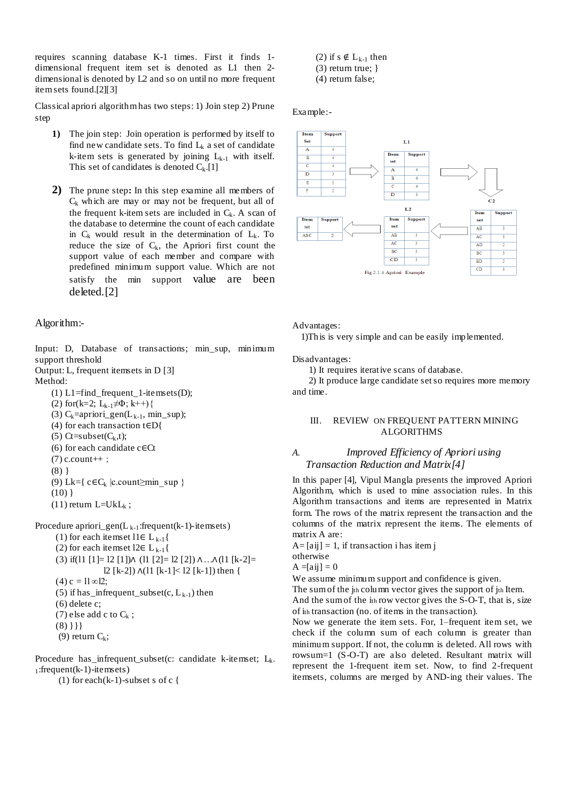requires scanning database K-1 times. First it finds 1 dimensional frequent item set is denoted as L1 then 2 dimensional is denoted by L2 and so on until no more frequent item sets found.[2][3]

Classical apriori algorithm has two steps: 1) Join step 2) Prune step

- **1)** The join step:Join operation is performed by itself to find new candidate sets. To find  $L_k$  a set of candidate k-item sets is generated by joining  $L_{k-1}$  with itself. This set of candidates is denoted  $C_k$ .[1]
- **2)** The prune step**:** In this step examine all members of  $C_k$  which are may or may not be frequent, but all of the frequent k-item sets are included in  $C_k$ . A scan of the database to determine the count of each candidate in  $C_k$  would result in the determination of  $L_k$ . To reduce the size of  $C_k$ , the Apriori first count the support value of each member and compare with predefined minimum support value. Which are not satisfy the min support value are been deleted.[2]

# Algorithm:-

Input: D, Database of transactions; min\_sup, minimum support threshold

Output: L, frequent itemsets in D [3]

- Method:
	- (1)  $L1 = find$  frequent 1-itemsets(D);

(2) for(k=2;  $L_{k-1} \neq \Phi$ ; k++){

- (3)  $C_k$ =apriori\_gen(L<sub>k-1</sub>, min\_sup);
- (4) for each transaction t∈D{
- (5)  $Ct = subset(C_k,t);$
- (6) for each candidate c∈Ct
- $(7)$  c.count++;
- (8) }
- (9) Lk={ $c \in C_k$  |c.count≥min\_sup }
- $(10)$ }
- $(11)$  return L=UkL<sub>k</sub>;

Procedure apriori\_gen( $L_{k-1}$ :frequent(k-1)-itemsets)

(1) for each itemset l1∈  $L_{k-1}$ { (2) for each itemset l2∈  $L_{k-1}$ { (3) if(11 [1]= 12 [1])∧ (11 [2]= 12 [2]) ∧ …∧(11 [k-2]= l2 [k-2]) ∧(l1 [k-1]< l2 [k-1]) then {  $(4) c = 11 \infty 12;$ (5) if has \_infrequent\_subset(c,  $L_{k-1}$ ) then (6) delete c; (7) else add c to  $C_k$ ;  $(8)$ }}}

(9) return  $C_k$ ;

Procedure has infrequent subset(c: candidate k-itemset;  $L_k$ .  $_1$ : frequent (k-1) - itemsets)

(1) for each  $(k-1)$ -subset s of c {

- (2) if s  $\notin L_{k-1}$  then (3) return true; }
- (4) return false;

#### Example:-



Advantages:

1)This is very simple and can be easily implemented.

Disadvantages:

1) It requires iterative scans of database.

 2) It produce large candidate set so requires more memory and time.

# III. REVIEW ON FREQUENT PATTERN MINING ALGORITHMS

# *A. Improved Efficiency of Apriori using Transaction Reduction and Matrix[4]*

In this paper [4], Vipul Mangla presents the improved Apriori Algorithm, which is used to mine association rules. In this Algorithm transactions and items are represented in Matrix form. The rows of the matrix represent the transaction and the columns of the matrix represent the items. The elements of matrix A are:

 $A=[aij] = 1$ , if transaction i has item j

otherwise

 $A = [aij] = 0$ 

We assume minimum support and confidence is given.

The sum of the jth column vector gives the support of jth Item. And the sum of the ith row vector gives the S-O-T, that is, size of ith transaction (no. of items in the transaction).

Now we generate the item sets. For, 1–frequent item set, we check if the column sum of each column is greater than minimum support. If not, the column is deleted. All rows with rowsum=1 (S-O-T) are also deleted. Resultant matrix will represent the 1-frequent item set. Now, to find 2-frequent itemsets, columns are merged by AND-ing their values. The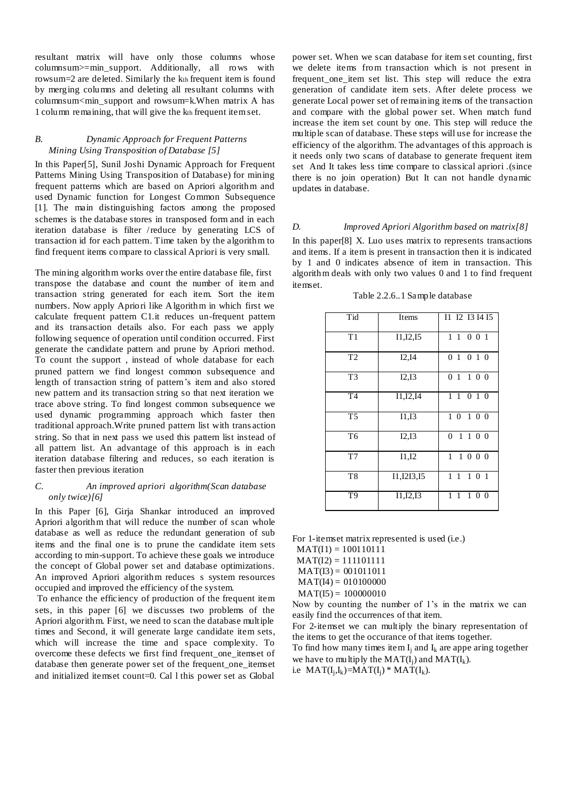resultant matrix will have only those columns whose columnsum>=min\_support. Additionally, all rows with rowsum=2 are deleted. Similarly the kth frequent item is found by merging columns and deleting all resultant columns with columnsum<min\_support and rowsum=k.When matrix A has 1 column remaining, that will give the kth frequent item set.

# *B. Dynamic Approach for Frequent Patterns Mining Using Transposition of Database [5]*

In this Paper[5], Sunil Joshi Dynamic Approach for Frequent Patterns Mining Using Transposition of Database) for mining frequent patterns which are based on Apriori algorithm and used Dynamic function for Longest Common Subsequence [1]. The main distinguishing factors among the proposed schemes is the database stores in transposed form and in each iteration database is filter /reduce by generating LCS of transaction id for each pattern. Time taken by the algorithm to find frequent items compare to classical Apriori is very small.

The mining algorithm works over the entire database file, first transpose the database and count the number of item and transaction string generated for each item. Sort the item numbers. Now apply Apriori like Algorithm in which first we calculate frequent pattern C1.it reduces un-frequent pattern and its transaction details also. For each pass we apply following sequence of operation until condition occurred. First generate the candidate pattern and prune by Apriori method. To count the support , instead of whole database for each pruned pattern we find longest common subsequence and length of transaction string of pattern's item and also stored new pattern and its transaction string so that next iteration we trace above string. To find longest common subsequence we used dynamic programming approach which faster then traditional approach.Write pruned pattern list with trans action string. So that in next pass we used this pattern list instead of all pattern list. An advantage of this approach is in each iteration database filtering and reduces, so each iteration is faster then previous iteration

# *C. An improved apriori algorithm(Scan database only twice)[6]*

In this Paper [6], Girja Shankar introduced an improved Apriori algorithm that will reduce the number of scan whole database as well as reduce the redundant generation of sub items and the final one is to prune the candidate item sets according to min-support. To achieve these goals we introduce the concept of Global power set and database optimizations. An improved Apriori algorithm reduces s system resources occupied and improved the efficiency of the system.

To enhance the efficiency of production of the frequent item sets, in this paper [6] we discusses two problems of the Apriori algorithm. First, we need to scan the database multiple times and Second, it will generate large candidate item sets, which will increase the time and space complexity. To overcome these defects we first find frequent one itemset of database then generate power set of the frequent\_one\_itemset and initialized itemset count=0. Cal l this power set as Global

power set. When we scan database for item set counting, first we delete items from transaction which is not present in frequent one item set list. This step will reduce the extra generation of candidate item sets. After delete process we generate Local power set of remaining items of the transaction and compare with the global power set. When match fund increase the item set count by one. This step will reduce the multiple scan of database. These steps will use for increase the efficiency of the algorithm. The advantages of this approach is it needs only two scans of database to generate frequent item set And It takes less time compare to classical apriori .(since there is no join operation) But It can not handle dynamic updates in database.

## *D. Improved Apriori Algorithm based on matrix[8]*

In this paper[8] X. Luo uses matrix to represents transactions and items. If a item is present in transaction then it is indicated by 1 and 0 indicates absence of item in transaction. This algorithm deals with only two values 0 and 1 to find frequent itemset.

Table 2.2.6..1 Sample database

| Tid            | Items                   | I1 I2 I3 I4 I5                   |
|----------------|-------------------------|----------------------------------|
| T1             | I1, I2, I5              | 1 1 0 0 1                        |
| T <sub>2</sub> | I2,I4                   | 01010                            |
| T <sub>3</sub> | I2,I3                   | 01100                            |
| T <sub>4</sub> | $\overline{11}, I2, I4$ | 1 1 0 1 0                        |
| T <sub>5</sub> | I1,I3                   | 1 0 1 0 0                        |
| T <sub>6</sub> | I2,I3                   | $\theta$<br>1 1 0 0              |
| T7             | I1,I2                   | 1 1 0 0 0                        |
| T <sub>8</sub> | 11, 1213, 15            | 1 1 1 0 1                        |
| T <sub>9</sub> | I1, I2, I3              | $1\ 0\ 0$<br>1<br>$\overline{1}$ |

For 1-itemset matrix represented is used (i.e.)

 $MAT(I1) = 100110111$ 

- $MAT(I2) = 111101111$
- $MAT(I3) = 001011011$
- $MAT(I4) = 010100000$
- $MAT(I5) = 100000010$

Now by counting the number of 1's in the matrix we can easily find the occurrences of that item.

For 2-itemset we can multiply the binary representation of the items to get the occurance of that items together.

To find how many times item  $I_i$  and  $I_k$  are appe aring together we have to multiply the  $MAT(I_i)$  and  $MAT(I_k)$ .

i.e  $MAT(I_j, I_k) = MAT(I_j) * MAT(I_k).$